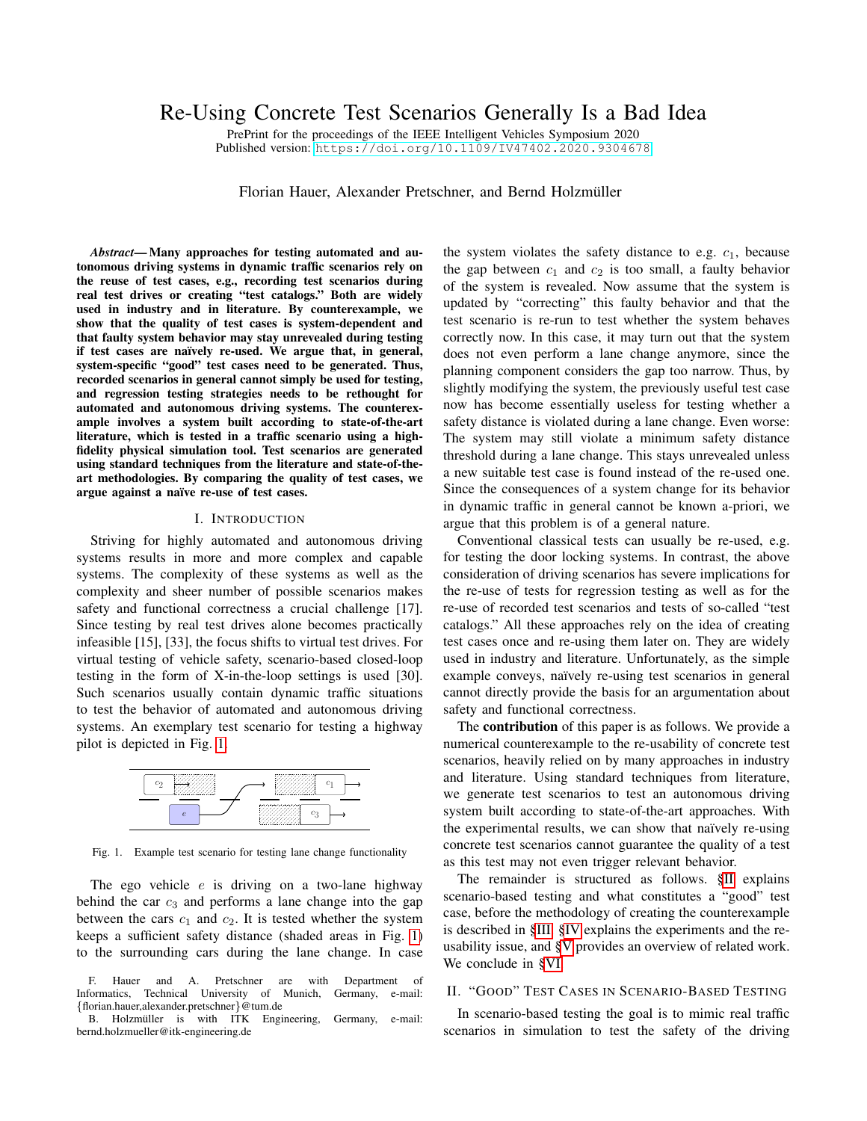# Re-Using Concrete Test Scenarios Generally Is a Bad Idea

PrePrint for the proceedings of the IEEE Intelligent Vehicles Symposium 2020 Published version: <https://doi.org/10.1109/IV47402.2020.9304678>

Florian Hauer, Alexander Pretschner, and Bernd Holzmüller

*Abstract*— Many approaches for testing automated and autonomous driving systems in dynamic traffic scenarios rely on the reuse of test cases, e.g., recording test scenarios during real test drives or creating "test catalogs." Both are widely used in industry and in literature. By counterexample, we show that the quality of test cases is system-dependent and that faulty system behavior may stay unrevealed during testing if test cases are naïvely re-used. We argue that, in general, system-specific "good" test cases need to be generated. Thus, recorded scenarios in general cannot simply be used for testing, and regression testing strategies needs to be rethought for automated and autonomous driving systems. The counterexample involves a system built according to state-of-the-art literature, which is tested in a traffic scenario using a highfidelity physical simulation tool. Test scenarios are generated using standard techniques from the literature and state-of-theart methodologies. By comparing the quality of test cases, we argue against a naïve re-use of test cases.

#### I. INTRODUCTION

<span id="page-0-2"></span>Striving for highly automated and autonomous driving systems results in more and more complex and capable systems. The complexity of these systems as well as the complexity and sheer number of possible scenarios makes safety and functional correctness a crucial challenge [17]. Since testing by real test drives alone becomes practically infeasible [15], [33], the focus shifts to virtual test drives. For virtual testing of vehicle safety, scenario-based closed-loop testing in the form of X-in-the-loop settings is used [30]. Such scenarios usually contain dynamic traffic situations to test the behavior of automated and autonomous driving systems. An exemplary test scenario for testing a highway pilot is depicted in Fig. [1.](#page-0-0)



<span id="page-0-0"></span>Fig. 1. Example test scenario for testing lane change functionality

The ego vehicle  $e$  is driving on a two-lane highway behind the car  $c_3$  and performs a lane change into the gap between the cars  $c_1$  and  $c_2$ . It is tested whether the system keeps a sufficient safety distance (shaded areas in Fig. [1\)](#page-0-0) to the surrounding cars during the lane change. In case the system violates the safety distance to e.g.  $c_1$ , because the gap between  $c_1$  and  $c_2$  is too small, a faulty behavior of the system is revealed. Now assume that the system is updated by "correcting" this faulty behavior and that the test scenario is re-run to test whether the system behaves correctly now. In this case, it may turn out that the system does not even perform a lane change anymore, since the planning component considers the gap too narrow. Thus, by slightly modifying the system, the previously useful test case now has become essentially useless for testing whether a safety distance is violated during a lane change. Even worse: The system may still violate a minimum safety distance threshold during a lane change. This stays unrevealed unless a new suitable test case is found instead of the re-used one. Since the consequences of a system change for its behavior in dynamic traffic in general cannot be known a-priori, we argue that this problem is of a general nature.

Conventional classical tests can usually be re-used, e.g. for testing the door locking systems. In contrast, the above consideration of driving scenarios has severe implications for the re-use of tests for regression testing as well as for the re-use of recorded test scenarios and tests of so-called "test catalogs." All these approaches rely on the idea of creating test cases once and re-using them later on. They are widely used in industry and literature. Unfortunately, as the simple example conveys, naïvely re-using test scenarios in general cannot directly provide the basis for an argumentation about safety and functional correctness.

The contribution of this paper is as follows. We provide a numerical counterexample to the re-usability of concrete test scenarios, heavily relied on by many approaches in industry and literature. Using standard techniques from literature, we generate test scenarios to test an autonomous driving system built according to state-of-the-art approaches. With the experimental results, we can show that naïvely re-using concrete test scenarios cannot guarantee the quality of a test as this test may not even trigger relevant behavior.

The remainder is structured as follows. [§II](#page-0-1) explains scenario-based testing and what constitutes a "good" test case, before the methodology of creating the counterexample is described in [§III.](#page-1-0) [§IV](#page-2-0) explains the experiments and the reusability issue, and [§V](#page-4-0) provides an overview of related work. We conclude in [§VI.](#page-4-1)

## <span id="page-0-1"></span>II. "GOOD" TEST CASES IN SCENARIO-BASED TESTING

In scenario-based testing the goal is to mimic real traffic scenarios in simulation to test the safety of the driving

F. Hauer and A. Pretschner are with Department of formatics, Technical University of Munich, Germany, e-mail: Informatics, Technical University of Munich, {florian.hauer,alexander.pretschner}@tum.de

B. Holzmüller is with ITK Engineering, Germany, e-mail: bernd.holzmueller@itk-engineering.de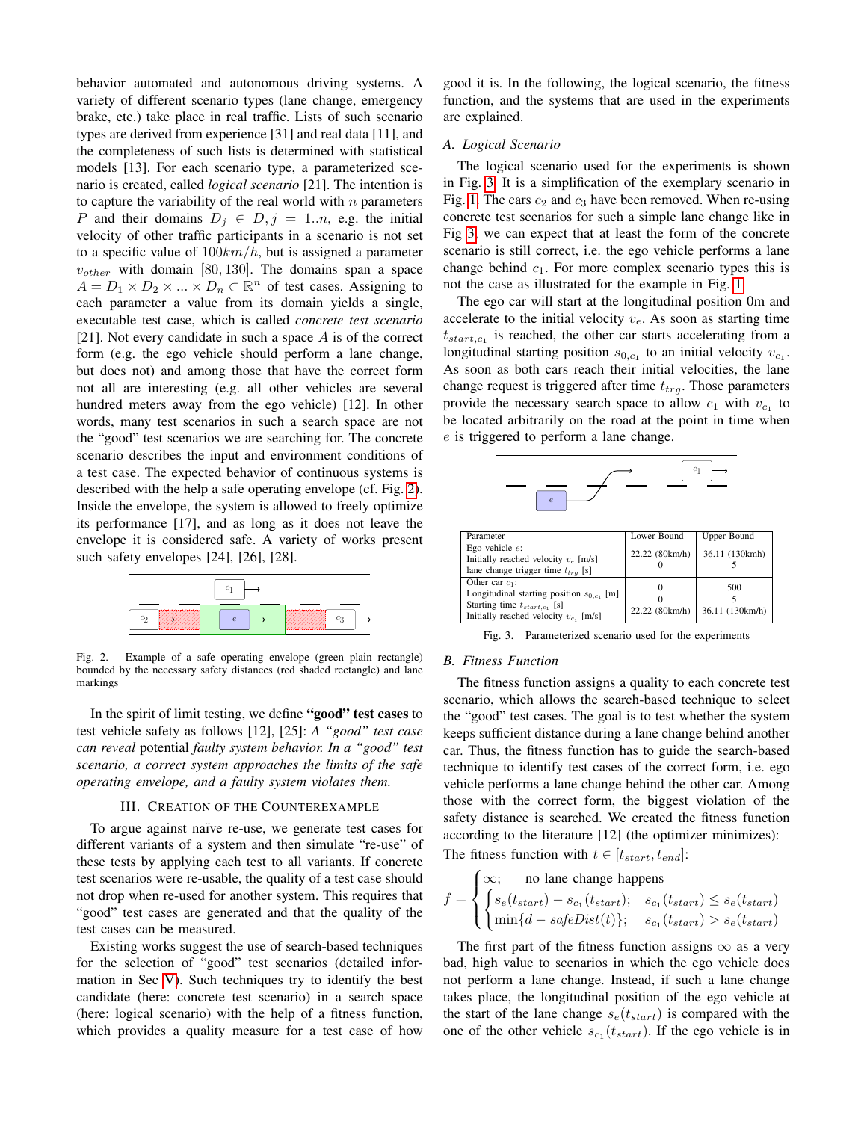behavior automated and autonomous driving systems. A variety of different scenario types (lane change, emergency brake, etc.) take place in real traffic. Lists of such scenario types are derived from experience [31] and real data [11], and the completeness of such lists is determined with statistical models [13]. For each scenario type, a parameterized scenario is created, called *logical scenario* [21]. The intention is to capture the variability of the real world with  $n$  parameters P and their domains  $D_i \in D, j = 1..n$ , e.g. the initial velocity of other traffic participants in a scenario is not set to a specific value of  $100km/h$ , but is assigned a parameter  $v_{other}$  with domain [80, 130]. The domains span a space  $A = D_1 \times D_2 \times ... \times D_n \subset \mathbb{R}^n$  of test cases. Assigning to each parameter a value from its domain yields a single, executable test case, which is called *concrete test scenario* [21]. Not every candidate in such a space  $A$  is of the correct form (e.g. the ego vehicle should perform a lane change, but does not) and among those that have the correct form not all are interesting (e.g. all other vehicles are several hundred meters away from the ego vehicle) [12]. In other words, many test scenarios in such a search space are not the "good" test scenarios we are searching for. The concrete scenario describes the input and environment conditions of a test case. The expected behavior of continuous systems is described with the help a safe operating envelope (cf. Fig. [2\)](#page-1-1). Inside the envelope, the system is allowed to freely optimize its performance [17], and as long as it does not leave the envelope it is considered safe. A variety of works present such safety envelopes [24], [26], [28].



<span id="page-1-1"></span>Fig. 2. Example of a safe operating envelope (green plain rectangle) bounded by the necessary safety distances (red shaded rectangle) and lane markings

In the spirit of limit testing, we define "good" test cases to test vehicle safety as follows [12], [25]: *A "good" test case can reveal* potential *faulty system behavior. In a "good" test scenario, a correct system approaches the limits of the safe operating envelope, and a faulty system violates them.*

#### III. CREATION OF THE COUNTEREXAMPLE

<span id="page-1-0"></span>To argue against naïve re-use, we generate test cases for different variants of a system and then simulate "re-use" of these tests by applying each test to all variants. If concrete test scenarios were re-usable, the quality of a test case should not drop when re-used for another system. This requires that "good" test cases are generated and that the quality of the test cases can be measured.

Existing works suggest the use of search-based techniques for the selection of "good" test scenarios (detailed information in Sec [V\)](#page-4-0). Such techniques try to identify the best candidate (here: concrete test scenario) in a search space (here: logical scenario) with the help of a fitness function, which provides a quality measure for a test case of how

good it is. In the following, the logical scenario, the fitness function, and the systems that are used in the experiments are explained.

#### <span id="page-1-3"></span>*A. Logical Scenario*

The logical scenario used for the experiments is shown in Fig. [3.](#page-1-2) It is a simplification of the exemplary scenario in Fig. [1.](#page-0-0) The cars  $c_2$  and  $c_3$  have been removed. When re-using concrete test scenarios for such a simple lane change like in Fig [3,](#page-1-2) we can expect that at least the form of the concrete scenario is still correct, i.e. the ego vehicle performs a lane change behind  $c_1$ . For more complex scenario types this is not the case as illustrated for the example in Fig. [1.](#page-0-0)

The ego car will start at the longitudinal position 0m and accelerate to the initial velocity  $v_e$ . As soon as starting time  $t_{start,c_1}$  is reached, the other car starts accelerating from a longitudinal starting position  $s_{0,c_1}$  to an initial velocity  $v_{c_1}$ . As soon as both cars reach their initial velocities, the lane change request is triggered after time  $t_{trg}$ . Those parameters provide the necessary search space to allow  $c_1$  with  $v_{c_1}$  to be located arbitrarily on the road at the point in time when e is triggered to perform a lane change.



| Parameter                                                                                                                                           | Lower Bound    | Upper Bound            |
|-----------------------------------------------------------------------------------------------------------------------------------------------------|----------------|------------------------|
| Ego vehicle $e$ :<br>Initially reached velocity $v_e$ [m/s]<br>lane change trigger time $t_{tra}$ [s]                                               | 22.22 (80km/h) | 36.11 (130kmh)         |
| Other car $c_1$ :<br>Longitudinal starting position $s_{0,c}$ [m]<br>Starting time $t_{start,c_1}$ [s]<br>Initially reached velocity $v_{c1}$ [m/s] | 22.22 (80km/h) | 500<br>36.11 (130km/h) |

<span id="page-1-2"></span>Fig. 3. Parameterized scenario used for the experiments

## <span id="page-1-4"></span>*B. Fitness Function*

The fitness function assigns a quality to each concrete test scenario, which allows the search-based technique to select the "good" test cases. The goal is to test whether the system keeps sufficient distance during a lane change behind another car. Thus, the fitness function has to guide the search-based technique to identify test cases of the correct form, i.e. ego vehicle performs a lane change behind the other car. Among those with the correct form, the biggest violation of the safety distance is searched. We created the fitness function according to the literature [12] (the optimizer minimizes): The fitness function with  $t \in [t_{start}, t_{end}]$ :

$$
f = \begin{cases} \infty; & \text{no lane change happens} \\ \begin{cases} s_e(t_{start}) - s_{c_1}(t_{start}); & s_{c_1}(t_{start}) \le s_e(t_{start}) \\ \min\{d - safeDist(t)\}; & s_{c_1}(t_{start}) > s_e(t_{start}) \end{cases} \end{cases}
$$

The first part of the fitness function assigns  $\infty$  as a very bad, high value to scenarios in which the ego vehicle does not perform a lane change. Instead, if such a lane change takes place, the longitudinal position of the ego vehicle at the start of the lane change  $s_e(t_{start})$  is compared with the one of the other vehicle  $s_{c_1}(t_{start})$ . If the ego vehicle is in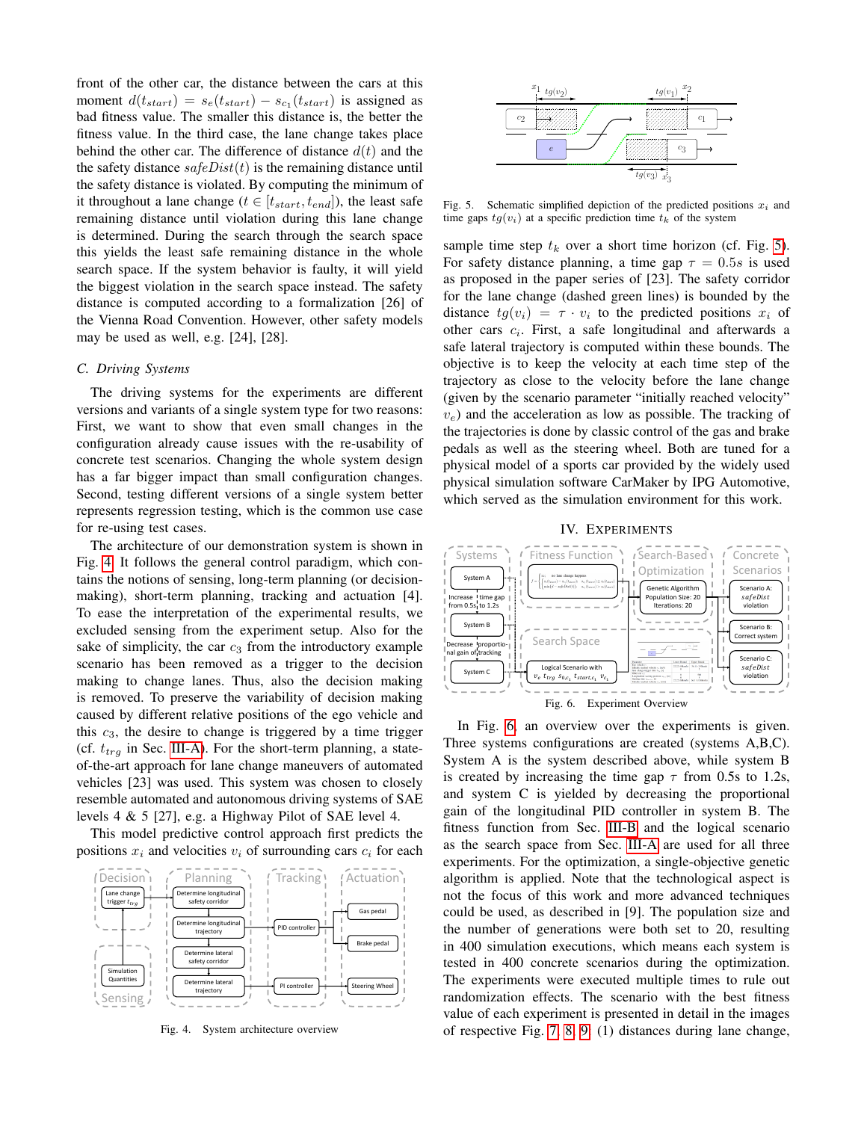front of the other car, the distance between the cars at this moment  $d(t_{start}) = s_e(t_{start}) - s_{c_1}(t_{start})$  is assigned as bad fitness value. The smaller this distance is, the better the fitness value. In the third case, the lane change takes place behind the other car. The difference of distance  $d(t)$  and the the safety distance  $safeDist(t)$  is the remaining distance until the safety distance is violated. By computing the minimum of it throughout a lane change ( $t \in [t_{start}, t_{end}]$ ), the least safe remaining distance until violation during this lane change is determined. During the search through the search space this yields the least safe remaining distance in the whole search space. If the system behavior is faulty, it will yield the biggest violation in the search space instead. The safety distance is computed according to a formalization [26] of the Vienna Road Convention. However, other safety models may be used as well, e.g. [24], [28].

#### *C. Driving Systems*

The driving systems for the experiments are different versions and variants of a single system type for two reasons: First, we want to show that even small changes in the configuration already cause issues with the re-usability of concrete test scenarios. Changing the whole system design has a far bigger impact than small configuration changes. Second, testing different versions of a single system better represents regression testing, which is the common use case for re-using test cases.

The architecture of our demonstration system is shown in Fig. [4.](#page-2-1) It follows the general control paradigm, which contains the notions of sensing, long-term planning (or decisionmaking), short-term planning, tracking and actuation [4]. To ease the interpretation of the experimental results, we excluded sensing from the experiment setup. Also for the sake of simplicity, the car  $c_3$  from the introductory example scenario has been removed as a trigger to the decision making to change lanes. Thus, also the decision making is removed. To preserve the variability of decision making caused by different relative positions of the ego vehicle and this  $c_3$ , the desire to change is triggered by a time trigger (cf.  $t_{trq}$  in Sec. [III-A\)](#page-1-3). For the short-term planning, a stateof-the-art approach for lane change maneuvers of automated vehicles [23] was used. This system was chosen to closely resemble automated and autonomous driving systems of SAE levels 4 & 5 [27], e.g. a Highway Pilot of SAE level 4.

This model predictive control approach first predicts the positions  $x_i$  and velocities  $v_i$  of surrounding cars  $c_i$  for each



<span id="page-2-1"></span>Fig. 4. System architecture overview



<span id="page-2-2"></span>Fig. 5. Schematic simplified depiction of the predicted positions  $x_i$  and time gaps  $tg(v_i)$  at a specific prediction time  $t_k$  of the system

sample time step  $t_k$  over a short time horizon (cf. Fig. [5\)](#page-2-2). For safety distance planning, a time gap  $\tau = 0.5s$  is used as proposed in the paper series of [23]. The safety corridor for the lane change (dashed green lines) is bounded by the distance  $tg(v_i) = \tau \cdot v_i$  to the predicted positions  $x_i$  of other cars  $c_i$ . First, a safe longitudinal and afterwards a safe lateral trajectory is computed within these bounds. The objective is to keep the velocity at each time step of the trajectory as close to the velocity before the lane change (given by the scenario parameter "initially reached velocity"  $v_e$ ) and the acceleration as low as possible. The tracking of the trajectories is done by classic control of the gas and brake pedals as well as the steering wheel. Both are tuned for a physical model of a sports car provided by the widely used physical simulation software CarMaker by IPG Automotive, which served as the simulation environment for this work.

IV. EXPERIMENTS

<span id="page-2-0"></span>

<span id="page-2-3"></span>In Fig. [6,](#page-2-3) an overview over the experiments is given. Three systems configurations are created (systems A,B,C). System A is the system described above, while system B is created by increasing the time gap  $\tau$  from 0.5s to 1.2s, and system C is yielded by decreasing the proportional gain of the longitudinal PID controller in system B. The fitness function from Sec. [III-B](#page-1-4) and the logical scenario as the search space from Sec. [III-A](#page-1-3) are used for all three experiments. For the optimization, a single-objective genetic algorithm is applied. Note that the technological aspect is not the focus of this work and more advanced techniques could be used, as described in [9]. The population size and the number of generations were both set to 20, resulting in 400 simulation executions, which means each system is tested in 400 concrete scenarios during the optimization. The experiments were executed multiple times to rule out randomization effects. The scenario with the best fitness value of each experiment is presented in detail in the images of respective Fig. [7,](#page-3-0) [8,](#page-3-1) [9:](#page-3-2) (1) distances during lane change,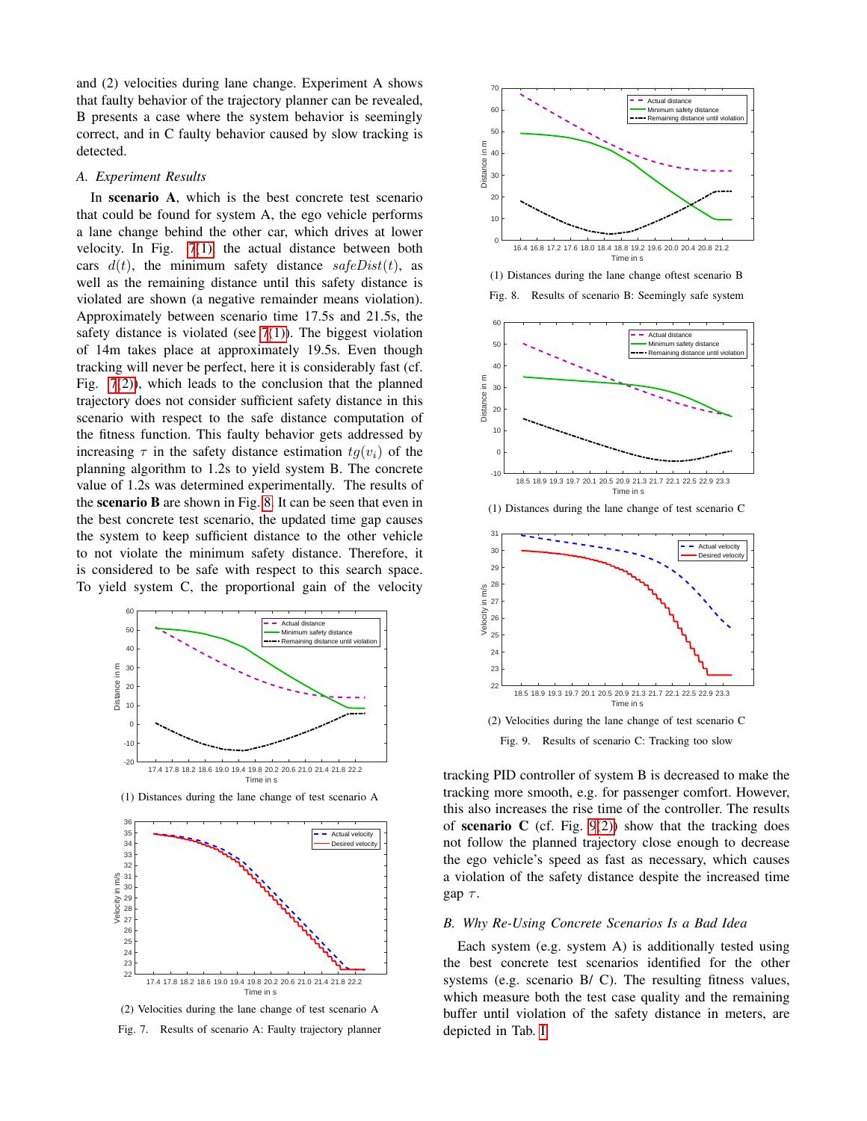and (2) velocities during lane change. Experiment A shows that faulty behavior of the trajectory planner can be revealed, B presents a case where the system behavior is seemingly correct, and in C faulty behavior caused by slow tracking is detected.

## *A. Experiment Results*

In scenario A, which is the best concrete test scenario that could be found for system A, the ego vehicle performs a lane change behind the other car, which drives at lower velocity. In Fig. [7](#page-3-0)[\(1\),](#page-3-3) the actual distance between both cars  $d(t)$ , the minimum safety distance  $safeDist(t)$ , as well as the remaining distance until this safety distance is violated are shown (a negative remainder means violation). Approximately between scenario time 17.5s and 21.5s, the safety distance is violated (see  $7(1)$ ). The biggest violation of 14m takes place at approximately 19.5s. Even though tracking will never be perfect, here it is considerably fast (cf. Fig. [7](#page-3-0)[\(2\)\)](#page-3-4), which leads to the conclusion that the planned trajectory does not consider sufficient safety distance in this scenario with respect to the safe distance computation of the fitness function. This faulty behavior gets addressed by increasing  $\tau$  in the safety distance estimation  $tq(v_i)$  of the planning algorithm to 1.2s to yield system B. The concrete value of 1.2s was determined experimentally. The results of the scenario B are shown in Fig. [8.](#page-3-1) It can be seen that even in the best concrete test scenario, the updated time gap causes the system to keep sufficient distance to the other vehicle to not violate the minimum safety distance. Therefore, it is considered to be safe with respect to this search space. To yield system C, the proportional gain of the velocity

<span id="page-3-3"></span>

(1) Distances during the lane change of test scenario A

<span id="page-3-4"></span>

(2) Velocities during the lane change of test scenario A

<span id="page-3-0"></span>Fig. 7. Results of scenario A: Faulty trajectory planner



(1) Distances during the lane change oftest scenario B

<span id="page-3-1"></span>



(1) Distances during the lane change of test scenario C

<span id="page-3-5"></span>

<span id="page-3-2"></span>Fig. 9. Results of scenario C: Tracking too slow

tracking PID controller of system B is decreased to make the tracking more smooth, e.g. for passenger comfort. However, this also increases the rise time of the controller. The results of scenario C (cf. Fig.  $9(2)$ ) show that the tracking does not follow the planned trajectory close enough to decrease the ego vehicle's speed as fast as necessary, which causes a violation of the safety distance despite the increased time gap  $\tau$ .

#### *B. Why Re-Using Concrete Scenarios Is a Bad Idea*

Each system (e.g. system A) is additionally tested using the best concrete test scenarios identified for the other systems (e.g. scenario B/ C). The resulting fitness values, which measure both the test case quality and the remaining buffer until violation of the safety distance in meters, are depicted in Tab. [I.](#page-4-2)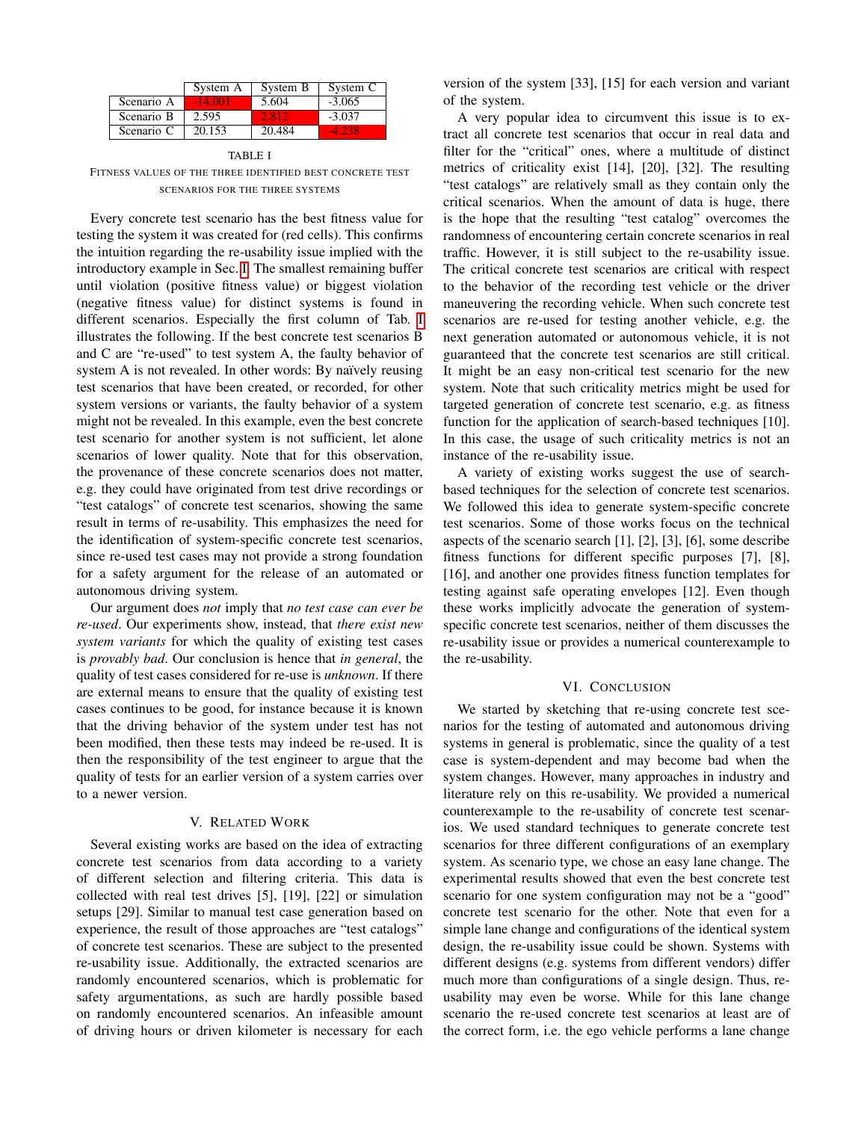|            | System A  | System B | System C     |
|------------|-----------|----------|--------------|
| Scenario A | $-14.001$ | 5.604    | $-3.065$     |
| Scenario B | 2.595     | 2.812    | $-3.037$     |
| Scenario C | 20.153    | 20.484   | <b>4.238</b> |

<span id="page-4-2"></span>TABLE I FITNESS VALUES OF THE THREE IDENTIFIED BEST CONCRETE TEST SCENARIOS FOR THE THREE SYSTEMS

Every concrete test scenario has the best fitness value for testing the system it was created for (red cells). This confirms the intuition regarding the re-usability issue implied with the introductory example in Sec. [I.](#page-0-2) The smallest remaining buffer until violation (positive fitness value) or biggest violation (negative fitness value) for distinct systems is found in different scenarios. Especially the first column of Tab. [I](#page-4-2) illustrates the following. If the best concrete test scenarios B and C are "re-used" to test system A, the faulty behavior of system A is not revealed. In other words: By naïvely reusing test scenarios that have been created, or recorded, for other system versions or variants, the faulty behavior of a system might not be revealed. In this example, even the best concrete test scenario for another system is not sufficient, let alone scenarios of lower quality. Note that for this observation, the provenance of these concrete scenarios does not matter, e.g. they could have originated from test drive recordings or "test catalogs" of concrete test scenarios, showing the same result in terms of re-usability. This emphasizes the need for the identification of system-specific concrete test scenarios, since re-used test cases may not provide a strong foundation for a safety argument for the release of an automated or autonomous driving system.

Our argument does *not* imply that *no test case can ever be re-used*. Our experiments show, instead, that *there exist new system variants* for which the quality of existing test cases is *provably bad*. Our conclusion is hence that *in general*, the quality of test cases considered for re-use is *unknown*. If there are external means to ensure that the quality of existing test cases continues to be good, for instance because it is known that the driving behavior of the system under test has not been modified, then these tests may indeed be re-used. It is then the responsibility of the test engineer to argue that the quality of tests for an earlier version of a system carries over to a newer version.

## V. RELATED WORK

<span id="page-4-0"></span>Several existing works are based on the idea of extracting concrete test scenarios from data according to a variety of different selection and filtering criteria. This data is collected with real test drives [5], [19], [22] or simulation setups [29]. Similar to manual test case generation based on experience, the result of those approaches are "test catalogs" of concrete test scenarios. These are subject to the presented re-usability issue. Additionally, the extracted scenarios are randomly encountered scenarios, which is problematic for safety argumentations, as such are hardly possible based on randomly encountered scenarios. An infeasible amount of driving hours or driven kilometer is necessary for each

version of the system [33], [15] for each version and variant of the system.

A very popular idea to circumvent this issue is to extract all concrete test scenarios that occur in real data and filter for the "critical" ones, where a multitude of distinct metrics of criticality exist [14], [20], [32]. The resulting "test catalogs" are relatively small as they contain only the critical scenarios. When the amount of data is huge, there is the hope that the resulting "test catalog" overcomes the randomness of encountering certain concrete scenarios in real traffic. However, it is still subject to the re-usability issue. The critical concrete test scenarios are critical with respect to the behavior of the recording test vehicle or the driver maneuvering the recording vehicle. When such concrete test scenarios are re-used for testing another vehicle, e.g. the next generation automated or autonomous vehicle, it is not guaranteed that the concrete test scenarios are still critical. It might be an easy non-critical test scenario for the new system. Note that such criticality metrics might be used for targeted generation of concrete test scenario, e.g. as fitness function for the application of search-based techniques [10]. In this case, the usage of such criticality metrics is not an instance of the re-usability issue.

A variety of existing works suggest the use of searchbased techniques for the selection of concrete test scenarios. We followed this idea to generate system-specific concrete test scenarios. Some of those works focus on the technical aspects of the scenario search [1], [2], [3], [6], some describe fitness functions for different specific purposes [7], [8], [16], and another one provides fitness function templates for testing against safe operating envelopes [12]. Even though these works implicitly advocate the generation of systemspecific concrete test scenarios, neither of them discusses the re-usability issue or provides a numerical counterexample to the re-usability.

## VI. CONCLUSION

<span id="page-4-1"></span>We started by sketching that re-using concrete test scenarios for the testing of automated and autonomous driving systems in general is problematic, since the quality of a test case is system-dependent and may become bad when the system changes. However, many approaches in industry and literature rely on this re-usability. We provided a numerical counterexample to the re-usability of concrete test scenarios. We used standard techniques to generate concrete test scenarios for three different configurations of an exemplary system. As scenario type, we chose an easy lane change. The experimental results showed that even the best concrete test scenario for one system configuration may not be a "good" concrete test scenario for the other. Note that even for a simple lane change and configurations of the identical system design, the re-usability issue could be shown. Systems with different designs (e.g. systems from different vendors) differ much more than configurations of a single design. Thus, reusability may even be worse. While for this lane change scenario the re-used concrete test scenarios at least are of the correct form, i.e. the ego vehicle performs a lane change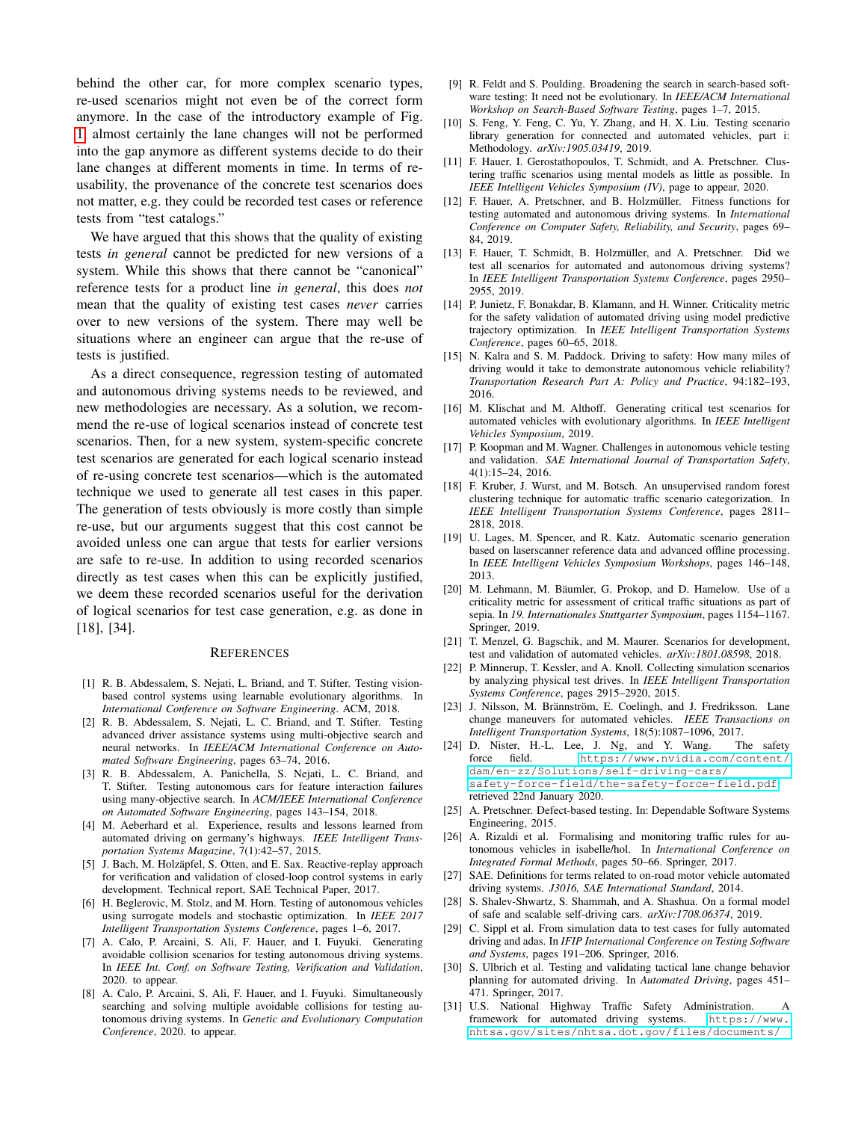behind the other car, for more complex scenario types, re-used scenarios might not even be of the correct form anymore. In the case of the introductory example of Fig. [1,](#page-0-0) almost certainly the lane changes will not be performed into the gap anymore as different systems decide to do their lane changes at different moments in time. In terms of reusability, the provenance of the concrete test scenarios does not matter, e.g. they could be recorded test cases or reference tests from "test catalogs."

We have argued that this shows that the quality of existing tests *in general* cannot be predicted for new versions of a system. While this shows that there cannot be "canonical" reference tests for a product line *in general*, this does *not* mean that the quality of existing test cases *never* carries over to new versions of the system. There may well be situations where an engineer can argue that the re-use of tests is justified.

As a direct consequence, regression testing of automated and autonomous driving systems needs to be reviewed, and new methodologies are necessary. As a solution, we recommend the re-use of logical scenarios instead of concrete test scenarios. Then, for a new system, system-specific concrete test scenarios are generated for each logical scenario instead of re-using concrete test scenarios—which is the automated technique we used to generate all test cases in this paper. The generation of tests obviously is more costly than simple re-use, but our arguments suggest that this cost cannot be avoided unless one can argue that tests for earlier versions are safe to re-use. In addition to using recorded scenarios directly as test cases when this can be explicitly justified, we deem these recorded scenarios useful for the derivation of logical scenarios for test case generation, e.g. as done in [18], [34].

#### **REFERENCES**

- [1] R. B. Abdessalem, S. Nejati, L. Briand, and T. Stifter. Testing visionbased control systems using learnable evolutionary algorithms. In *International Conference on Software Engineering*. ACM, 2018.
- [2] R. B. Abdessalem, S. Nejati, L. C. Briand, and T. Stifter. Testing advanced driver assistance systems using multi-objective search and neural networks. In *IEEE/ACM International Conference on Automated Software Engineering*, pages 63–74, 2016.
- [3] R. B. Abdessalem, A. Panichella, S. Nejati, L. C. Briand, and T. Stifter. Testing autonomous cars for feature interaction failures using many-objective search. In *ACM/IEEE International Conference on Automated Software Engineering*, pages 143–154, 2018.
- [4] M. Aeberhard et al. Experience, results and lessons learned from automated driving on germany's highways. *IEEE Intelligent Transportation Systems Magazine*, 7(1):42–57, 2015.
- [5] J. Bach, M. Holzäpfel, S. Otten, and E. Sax. Reactive-replay approach for verification and validation of closed-loop control systems in early development. Technical report, SAE Technical Paper, 2017.
- [6] H. Beglerovic, M. Stolz, and M. Horn. Testing of autonomous vehicles using surrogate models and stochastic optimization. In *IEEE 2017 Intelligent Transportation Systems Conference*, pages 1–6, 2017.
- [7] A. Calo, P. Arcaini, S. Ali, F. Hauer, and I. Fuyuki. Generating avoidable collision scenarios for testing autonomous driving systems. In *IEEE Int. Conf. on Software Testing, Verification and Validation*, 2020. to appear.
- [8] A. Calo, P. Arcaini, S. Ali, F. Hauer, and I. Fuyuki. Simultaneously searching and solving multiple avoidable collisions for testing autonomous driving systems. In *Genetic and Evolutionary Computation Conference*, 2020. to appear.
- [9] R. Feldt and S. Poulding. Broadening the search in search-based software testing: It need not be evolutionary. In *IEEE/ACM International Workshop on Search-Based Software Testing*, pages 1–7, 2015.
- [10] S. Feng, Y. Feng, C. Yu, Y. Zhang, and H. X. Liu. Testing scenario library generation for connected and automated vehicles, part i: Methodology. *arXiv:1905.03419*, 2019.
- [11] F. Hauer, I. Gerostathopoulos, T. Schmidt, and A. Pretschner. Clustering traffic scenarios using mental models as little as possible. In *IEEE Intelligent Vehicles Symposium (IV)*, page to appear, 2020.
- [12] F. Hauer, A. Pretschner, and B. Holzmüller. Fitness functions for testing automated and autonomous driving systems. In *International Conference on Computer Safety, Reliability, and Security*, pages 69– 84, 2019.
- [13] F. Hauer, T. Schmidt, B. Holzmüller, and A. Pretschner. Did we test all scenarios for automated and autonomous driving systems? In *IEEE Intelligent Transportation Systems Conference*, pages 2950– 2955, 2019.
- [14] P. Junietz, F. Bonakdar, B. Klamann, and H. Winner. Criticality metric for the safety validation of automated driving using model predictive trajectory optimization. In *IEEE Intelligent Transportation Systems Conference*, pages 60–65, 2018.
- [15] N. Kalra and S. M. Paddock. Driving to safety: How many miles of driving would it take to demonstrate autonomous vehicle reliability? *Transportation Research Part A: Policy and Practice*, 94:182–193, 2016.
- [16] M. Klischat and M. Althoff. Generating critical test scenarios for automated vehicles with evolutionary algorithms. In *IEEE Intelligent Vehicles Symposium*, 2019.
- [17] P. Koopman and M. Wagner. Challenges in autonomous vehicle testing and validation. *SAE International Journal of Transportation Safety*, 4(1):15–24, 2016.
- [18] F. Kruber, J. Wurst, and M. Botsch. An unsupervised random forest clustering technique for automatic traffic scenario categorization. In *IEEE Intelligent Transportation Systems Conference*, pages 2811– 2818, 2018.
- [19] U. Lages, M. Spencer, and R. Katz. Automatic scenario generation based on laserscanner reference data and advanced offline processing. In *IEEE Intelligent Vehicles Symposium Workshops*, pages 146–148, 2013.
- [20] M. Lehmann, M. Bäumler, G. Prokop, and D. Hamelow. Use of a criticality metric for assessment of critical traffic situations as part of sepia. In *19. Internationales Stuttgarter Symposium*, pages 1154–1167. Springer, 2019.
- [21] T. Menzel, G. Bagschik, and M. Maurer. Scenarios for development, test and validation of automated vehicles. *arXiv:1801.08598*, 2018.
- [22] P. Minnerup, T. Kessler, and A. Knoll. Collecting simulation scenarios by analyzing physical test drives. In *IEEE Intelligent Transportation Systems Conference*, pages 2915–2920, 2015.
- [23] J. Nilsson, M. Brännström, E. Coelingh, and J. Fredriksson. Lane change maneuvers for automated vehicles. *IEEE Transactions on Intelligent Transportation Systems*, 18(5):1087–1096, 2017.
- [24] D. Nister, H.-L. Lee, J. Ng, and Y. Wang. The safety force field. [https://www.nvidia.com/content/](https://www.nvidia.com/content/dam/en-zz/Solutions/self-driving-cars/safety-force-field/the-safety-force-field.pdf) [dam/en-zz/Solutions/self-driving-cars/](https://www.nvidia.com/content/dam/en-zz/Solutions/self-driving-cars/safety-force-field/the-safety-force-field.pdf) [safety-force-field/the-safety-force-field.pdf](https://www.nvidia.com/content/dam/en-zz/Solutions/self-driving-cars/safety-force-field/the-safety-force-field.pdf), retrieved 22nd January 2020.
- [25] A. Pretschner. Defect-based testing. In: Dependable Software Systems Engineering, 2015.
- [26] A. Rizaldi et al. Formalising and monitoring traffic rules for autonomous vehicles in isabelle/hol. In *International Conference on Integrated Formal Methods*, pages 50–66. Springer, 2017.
- [27] SAE. Definitions for terms related to on-road motor vehicle automated driving systems. *J3016, SAE International Standard*, 2014.
- [28] S. Shalev-Shwartz, S. Shammah, and A. Shashua. On a formal model of safe and scalable self-driving cars. *arXiv:1708.06374*, 2019.
- [29] C. Sippl et al. From simulation data to test cases for fully automated driving and adas. In *IFIP International Conference on Testing Software and Systems*, pages 191–206. Springer, 2016.
- [30] S. Ulbrich et al. Testing and validating tactical lane change behavior planning for automated driving. In *Automated Driving*, pages 451– 471. Springer, 2017.
- [31] U.S. National Highway Traffic Safety Administration. A framework for automated driving systems. [nhtsa.gov/sites/nhtsa.dot.gov/files/documents/](https://www.nhtsa.gov/sites/nhtsa.dot.gov/files/documents/13882-automateddrivingsystems_092618_v1a_tag.pdf)